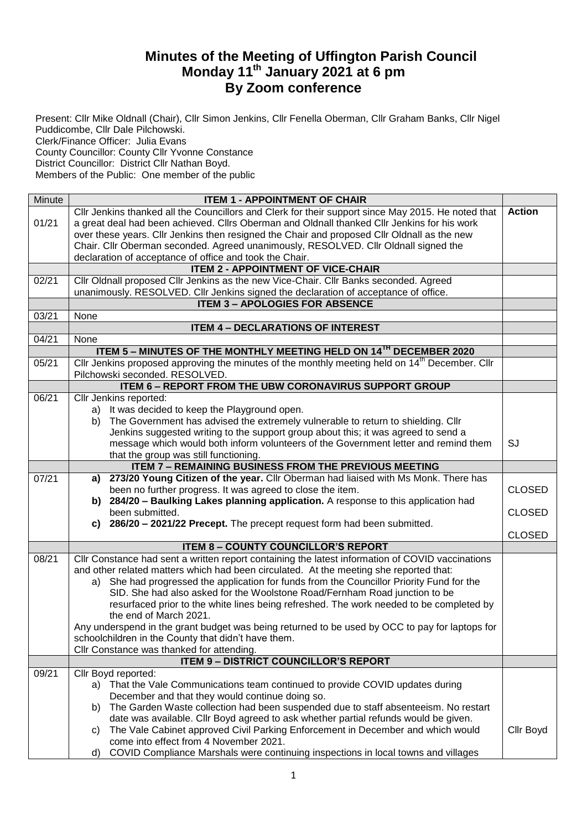## **Minutes of the Meeting of Uffington Parish Council Monday 11th January 2021 at 6 pm By Zoom conference**

Present: Cllr Mike Oldnall (Chair), Cllr Simon Jenkins, Cllr Fenella Oberman, Cllr Graham Banks, Cllr Nigel Puddicombe, Cllr Dale Pilchowski. Clerk/Finance Officer: Julia Evans County Councillor: County Cllr Yvonne Constance District Councillor: District Cllr Nathan Boyd. Members of the Public: One member of the public

| Minute | <b>ITEM 1 - APPOINTMENT OF CHAIR</b>                                                                                                              |               |
|--------|---------------------------------------------------------------------------------------------------------------------------------------------------|---------------|
|        | Cllr Jenkins thanked all the Councillors and Clerk for their support since May 2015. He noted that                                                | <b>Action</b> |
| 01/21  | a great deal had been achieved. Cllrs Oberman and Oldnall thanked Cllr Jenkins for his work                                                       |               |
|        | over these years. Cllr Jenkins then resigned the Chair and proposed Cllr Oldnall as the new                                                       |               |
|        | Chair. Cllr Oberman seconded. Agreed unanimously, RESOLVED. Cllr Oldnall signed the                                                               |               |
|        | declaration of acceptance of office and took the Chair.                                                                                           |               |
|        | <b>ITEM 2 - APPOINTMENT OF VICE-CHAIR</b>                                                                                                         |               |
| 02/21  | Cllr Oldnall proposed Cllr Jenkins as the new Vice-Chair. Cllr Banks seconded. Agreed                                                             |               |
|        | unanimously. RESOLVED. Cllr Jenkins signed the declaration of acceptance of office.                                                               |               |
|        | <b>ITEM 3 - APOLOGIES FOR ABSENCE</b>                                                                                                             |               |
| 03/21  | None                                                                                                                                              |               |
|        | <b>ITEM 4 - DECLARATIONS OF INTEREST</b>                                                                                                          |               |
| 04/21  | None                                                                                                                                              |               |
|        | ITEM 5 - MINUTES OF THE MONTHLY MEETING HELD ON 14 <sup>1H</sup> DECEMBER 2020                                                                    |               |
| 05/21  | Cllr Jenkins proposed approving the minutes of the monthly meeting held on 14 <sup>th</sup> December. Cllr                                        |               |
|        | Pilchowski seconded. RESOLVED.                                                                                                                    |               |
|        | <b>ITEM 6 - REPORT FROM THE UBW CORONAVIRUS SUPPORT GROUP</b>                                                                                     |               |
| 06/21  | Cllr Jenkins reported:                                                                                                                            |               |
|        | a) It was decided to keep the Playground open.                                                                                                    |               |
|        | The Government has advised the extremely vulnerable to return to shielding. Cllr<br>b)                                                            |               |
|        | Jenkins suggested writing to the support group about this; it was agreed to send a                                                                |               |
|        | message which would both inform volunteers of the Government letter and remind them                                                               | SJ            |
|        | that the group was still functioning.                                                                                                             |               |
|        | <b>ITEM 7 - REMAINING BUSINESS FROM THE PREVIOUS MEETING</b>                                                                                      |               |
| 07/21  | 273/20 Young Citizen of the year. Cllr Oberman had liaised with Ms Monk. There has<br>a)                                                          |               |
|        | been no further progress. It was agreed to close the item.<br>b) 284/20 - Baulking Lakes planning application. A response to this application had | <b>CLOSED</b> |
|        | been submitted.                                                                                                                                   | <b>CLOSED</b> |
|        | c) 286/20 - 2021/22 Precept. The precept request form had been submitted.                                                                         |               |
|        |                                                                                                                                                   | <b>CLOSED</b> |
|        | <b>ITEM 8 - COUNTY COUNCILLOR'S REPORT</b>                                                                                                        |               |
| 08/21  | CIIr Constance had sent a written report containing the latest information of COVID vaccinations                                                  |               |
|        | and other related matters which had been circulated. At the meeting she reported that:                                                            |               |
|        | a) She had progressed the application for funds from the Councillor Priority Fund for the                                                         |               |
|        | SID. She had also asked for the Woolstone Road/Fernham Road junction to be                                                                        |               |
|        | resurfaced prior to the white lines being refreshed. The work needed to be completed by                                                           |               |
|        | the end of March 2021.                                                                                                                            |               |
|        | Any underspend in the grant budget was being returned to be used by OCC to pay for laptops for                                                    |               |
|        | schoolchildren in the County that didn't have them.                                                                                               |               |
|        | Cllr Constance was thanked for attending.                                                                                                         |               |
|        | <b>ITEM 9 - DISTRICT COUNCILLOR'S REPORT</b>                                                                                                      |               |
| 09/21  | Cllr Boyd reported:                                                                                                                               |               |
|        | a) That the Vale Communications team continued to provide COVID updates during                                                                    |               |
|        | December and that they would continue doing so.                                                                                                   |               |
|        | The Garden Waste collection had been suspended due to staff absenteeism. No restart<br>b)                                                         |               |
|        | date was available. Cllr Boyd agreed to ask whether partial refunds would be given.                                                               |               |
|        | The Vale Cabinet approved Civil Parking Enforcement in December and which would<br>C)                                                             | Cllr Boyd     |
|        | come into effect from 4 November 2021.                                                                                                            |               |
|        | COVID Compliance Marshals were continuing inspections in local towns and villages<br>d)                                                           |               |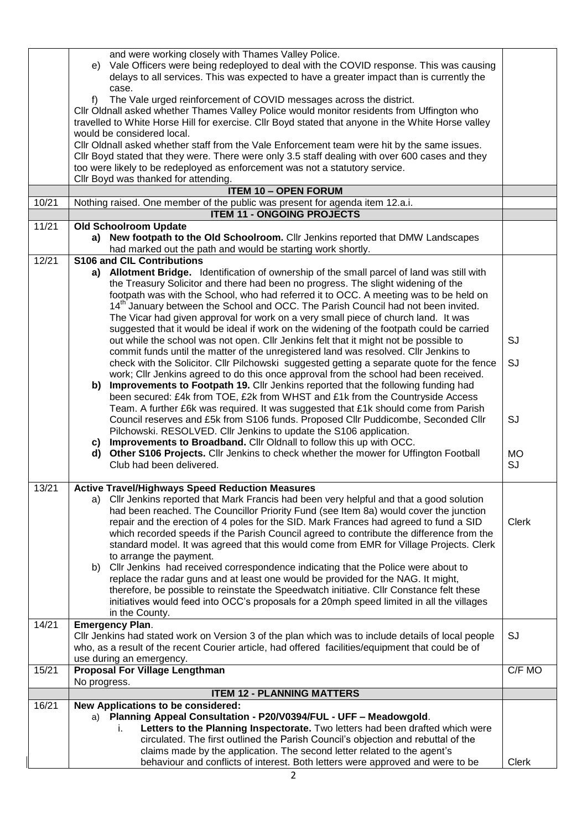|       | and were working closely with Thames Valley Police.<br>Vale Officers were being redeployed to deal with the COVID response. This was causing<br>e)<br>delays to all services. This was expected to have a greater impact than is currently the |              |
|-------|------------------------------------------------------------------------------------------------------------------------------------------------------------------------------------------------------------------------------------------------|--------------|
|       | case.<br>f)<br>The Vale urged reinforcement of COVID messages across the district.                                                                                                                                                             |              |
|       | Cllr Oldnall asked whether Thames Valley Police would monitor residents from Uffington who<br>travelled to White Horse Hill for exercise. Cllr Boyd stated that anyone in the White Horse valley                                               |              |
|       | would be considered local.<br>Cllr Oldnall asked whether staff from the Vale Enforcement team were hit by the same issues.                                                                                                                     |              |
|       | Cllr Boyd stated that they were. There were only 3.5 staff dealing with over 600 cases and they<br>too were likely to be redeployed as enforcement was not a statutory service.                                                                |              |
|       | Cllr Boyd was thanked for attending.                                                                                                                                                                                                           |              |
|       | <b>ITEM 10 - OPEN FORUM</b>                                                                                                                                                                                                                    |              |
| 10/21 | Nothing raised. One member of the public was present for agenda item 12.a.i.                                                                                                                                                                   |              |
| 11/21 | <b>ITEM 11 - ONGOING PROJECTS</b><br><b>Old Schoolroom Update</b>                                                                                                                                                                              |              |
|       | a) New footpath to the Old Schoolroom. Cllr Jenkins reported that DMW Landscapes                                                                                                                                                               |              |
|       | had marked out the path and would be starting work shortly.                                                                                                                                                                                    |              |
| 12/21 | <b>S106 and CIL Contributions</b>                                                                                                                                                                                                              |              |
|       | a) Allotment Bridge. Identification of ownership of the small parcel of land was still with<br>the Treasury Solicitor and there had been no progress. The slight widening of the                                                               |              |
|       | footpath was with the School, who had referred it to OCC. A meeting was to be held on                                                                                                                                                          |              |
|       | 14 <sup>th</sup> January between the School and OCC. The Parish Council had not been invited.                                                                                                                                                  |              |
|       | The Vicar had given approval for work on a very small piece of church land. It was                                                                                                                                                             |              |
|       | suggested that it would be ideal if work on the widening of the footpath could be carried<br>out while the school was not open. Cllr Jenkins felt that it might not be possible to                                                             | SJ           |
|       | commit funds until the matter of the unregistered land was resolved. Cllr Jenkins to                                                                                                                                                           |              |
|       | check with the Solicitor. Cllr Pilchowski suggested getting a separate quote for the fence                                                                                                                                                     | SJ           |
|       | work; Cllr Jenkins agreed to do this once approval from the school had been received.                                                                                                                                                          |              |
|       | Improvements to Footpath 19. Cllr Jenkins reported that the following funding had<br>b)<br>been secured: £4k from TOE, £2k from WHST and £1k from the Countryside Access                                                                       |              |
|       | Team. A further £6k was required. It was suggested that £1k should come from Parish                                                                                                                                                            |              |
|       | Council reserves and £5k from S106 funds. Proposed Cllr Puddicombe, Seconded Cllr                                                                                                                                                              | SJ           |
|       | Pilchowski. RESOLVED. Cllr Jenkins to update the S106 application.                                                                                                                                                                             |              |
|       | Improvements to Broadband. Cllr Oldnall to follow this up with OCC.<br>C)<br>Other S106 Projects. Cllr Jenkins to check whether the mower for Uffington Football<br>d)                                                                         | <b>MO</b>    |
|       | Club had been delivered.                                                                                                                                                                                                                       | SJ           |
| 13/21 | <b>Active Travel/Highways Speed Reduction Measures</b>                                                                                                                                                                                         |              |
|       | a) Cllr Jenkins reported that Mark Francis had been very helpful and that a good solution                                                                                                                                                      |              |
|       | had been reached. The Councillor Priority Fund (see Item 8a) would cover the junction                                                                                                                                                          |              |
|       | repair and the erection of 4 poles for the SID. Mark Frances had agreed to fund a SID                                                                                                                                                          | <b>Clerk</b> |
|       | which recorded speeds if the Parish Council agreed to contribute the difference from the<br>standard model. It was agreed that this would come from EMR for Village Projects. Clerk                                                            |              |
|       | to arrange the payment.                                                                                                                                                                                                                        |              |
|       | CIIr Jenkins had received correspondence indicating that the Police were about to<br>b)                                                                                                                                                        |              |
|       | replace the radar guns and at least one would be provided for the NAG. It might,                                                                                                                                                               |              |
|       | therefore, be possible to reinstate the Speedwatch initiative. Cllr Constance felt these<br>initiatives would feed into OCC's proposals for a 20mph speed limited in all the villages                                                          |              |
|       | in the County.                                                                                                                                                                                                                                 |              |
| 14/21 | <b>Emergency Plan.</b>                                                                                                                                                                                                                         |              |
|       | Cllr Jenkins had stated work on Version 3 of the plan which was to include details of local people                                                                                                                                             | SJ           |
|       | who, as a result of the recent Courier article, had offered facilities/equipment that could be of<br>use during an emergency.                                                                                                                  |              |
| 15/21 | <b>Proposal For Village Lengthman</b>                                                                                                                                                                                                          | C/F MO       |
|       | No progress.                                                                                                                                                                                                                                   |              |
| 16/21 | <b>ITEM 12 - PLANNING MATTERS</b><br>New Applications to be considered:                                                                                                                                                                        |              |
|       | a) Planning Appeal Consultation - P20/V0394/FUL - UFF - Meadowgold.                                                                                                                                                                            |              |
|       | Letters to the Planning Inspectorate. Two letters had been drafted which were<br>i.                                                                                                                                                            |              |
|       | circulated. The first outlined the Parish Council's objection and rebuttal of the                                                                                                                                                              |              |
|       | claims made by the application. The second letter related to the agent's                                                                                                                                                                       | <b>Clerk</b> |
|       | behaviour and conflicts of interest. Both letters were approved and were to be                                                                                                                                                                 |              |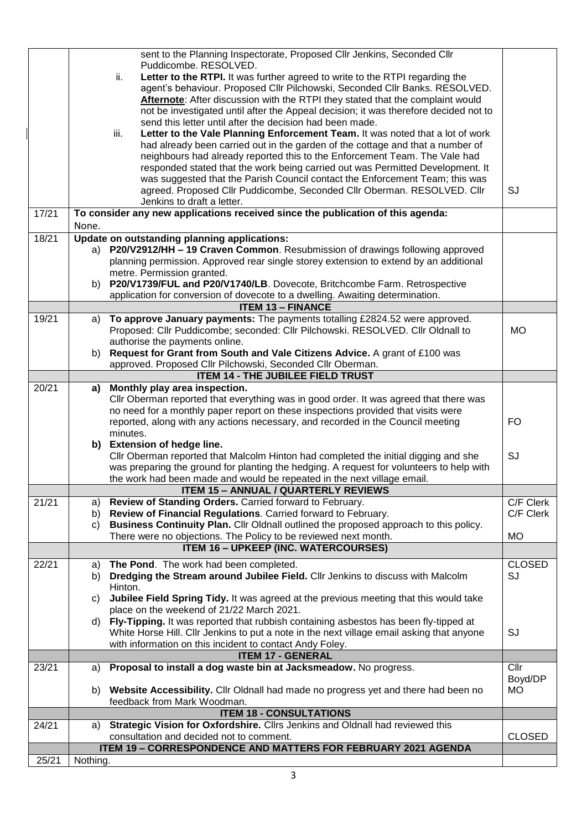|       | sent to the Planning Inspectorate, Proposed Cllr Jenkins, Seconded Cllr                                   |               |
|-------|-----------------------------------------------------------------------------------------------------------|---------------|
|       | Puddicombe, RESOLVED.                                                                                     |               |
|       | Letter to the RTPI. It was further agreed to write to the RTPI regarding the<br>ii.                       |               |
|       | agent's behaviour. Proposed Cllr Pilchowski, Seconded Cllr Banks. RESOLVED.                               |               |
|       | Afternote: After discussion with the RTPI they stated that the complaint would                            |               |
|       | not be investigated until after the Appeal decision; it was therefore decided not to                      |               |
|       | send this letter until after the decision had been made.                                                  |               |
|       | Letter to the Vale Planning Enforcement Team. It was noted that a lot of work<br>iii.                     |               |
|       | had already been carried out in the garden of the cottage and that a number of                            |               |
|       | neighbours had already reported this to the Enforcement Team. The Vale had                                |               |
|       | responded stated that the work being carried out was Permitted Development. It                            |               |
|       | was suggested that the Parish Council contact the Enforcement Team; this was                              |               |
|       | agreed. Proposed Cllr Puddicombe, Seconded Cllr Oberman. RESOLVED. Cllr                                   | SJ            |
|       | Jenkins to draft a letter.                                                                                |               |
| 17/21 | To consider any new applications received since the publication of this agenda:                           |               |
|       | None.                                                                                                     |               |
| 18/21 | Update on outstanding planning applications:                                                              |               |
|       | a) P20/V2912/HH - 19 Craven Common. Resubmission of drawings following approved                           |               |
|       | planning permission. Approved rear single storey extension to extend by an additional                     |               |
|       | metre. Permission granted.                                                                                |               |
|       | b) P20/V1739/FUL and P20/V1740/LB. Dovecote, Britchcombe Farm. Retrospective                              |               |
|       | application for conversion of dovecote to a dwelling. Awaiting determination.<br><b>ITEM 13 - FINANCE</b> |               |
| 19/21 | a) To approve January payments: The payments totalling £2824.52 were approved.                            |               |
|       | Proposed: Cllr Puddicombe; seconded: Cllr Pilchowski. RESOLVED. Cllr Oldnall to                           | <b>MO</b>     |
|       | authorise the payments online.                                                                            |               |
|       | b) Request for Grant from South and Vale Citizens Advice. A grant of £100 was                             |               |
|       | approved. Proposed Cllr Pilchowski, Seconded Cllr Oberman.                                                |               |
|       | <b>ITEM 14 - THE JUBILEE FIELD TRUST</b>                                                                  |               |
| 20/21 | a) Monthly play area inspection.                                                                          |               |
|       | Cllr Oberman reported that everything was in good order. It was agreed that there was                     |               |
|       | no need for a monthly paper report on these inspections provided that visits were                         |               |
|       | reported, along with any actions necessary, and recorded in the Council meeting                           | FO.           |
|       | minutes.                                                                                                  |               |
|       | b) Extension of hedge line.                                                                               |               |
|       | CIIr Oberman reported that Malcolm Hinton had completed the initial digging and she                       | SJ            |
|       | was preparing the ground for planting the hedging. A request for volunteers to help with                  |               |
|       | the work had been made and would be repeated in the next village email.                                   |               |
|       | <b>ITEM 15 - ANNUAL / QUARTERLY REVIEWS</b>                                                               |               |
| 21/21 | Review of Standing Orders. Carried forward to February.<br>a)                                             | C/F Clerk     |
|       | Review of Financial Regulations. Carried forward to February.<br>b)                                       | C/F Clerk     |
|       | Business Continuity Plan. Cllr Oldnall outlined the proposed approach to this policy.<br>C)               |               |
|       | There were no objections. The Policy to be reviewed next month.                                           | <b>MO</b>     |
|       | <b>ITEM 16 - UPKEEP (INC. WATERCOURSES)</b>                                                               |               |
| 22/21 | The Pond. The work had been completed.<br>a)                                                              | <b>CLOSED</b> |
|       | Dredging the Stream around Jubilee Field. Cllr Jenkins to discuss with Malcolm<br>b)                      | SJ            |
|       | Hinton.                                                                                                   |               |
|       | Jubilee Field Spring Tidy. It was agreed at the previous meeting that this would take<br>C)               |               |
|       | place on the weekend of 21/22 March 2021.                                                                 |               |
|       | d) Fly-Tipping. It was reported that rubbish containing asbestos has been fly-tipped at                   |               |
|       | White Horse Hill. Cllr Jenkins to put a note in the next village email asking that anyone                 | SJ            |
|       | with information on this incident to contact Andy Foley.                                                  |               |
|       | <b>ITEM 17 - GENERAL</b>                                                                                  |               |
| 23/21 | Proposal to install a dog waste bin at Jacksmeadow. No progress.<br>a)                                    | Cllr          |
|       |                                                                                                           | Boyd/DP       |
|       | b) Website Accessibility. Cllr Oldnall had made no progress yet and there had been no                     | <b>MO</b>     |
|       | feedback from Mark Woodman.                                                                               |               |
|       | <b>ITEM 18 - CONSULTATIONS</b>                                                                            |               |
| 24/21 | Strategic Vision for Oxfordshire. Cllrs Jenkins and Oldnall had reviewed this<br>a)                       |               |
|       | consultation and decided not to comment.                                                                  | <b>CLOSED</b> |
|       | ITEM 19 - CORRESPONDENCE AND MATTERS FOR FEBRUARY 2021 AGENDA                                             |               |
| 25/21 | Nothing.                                                                                                  |               |